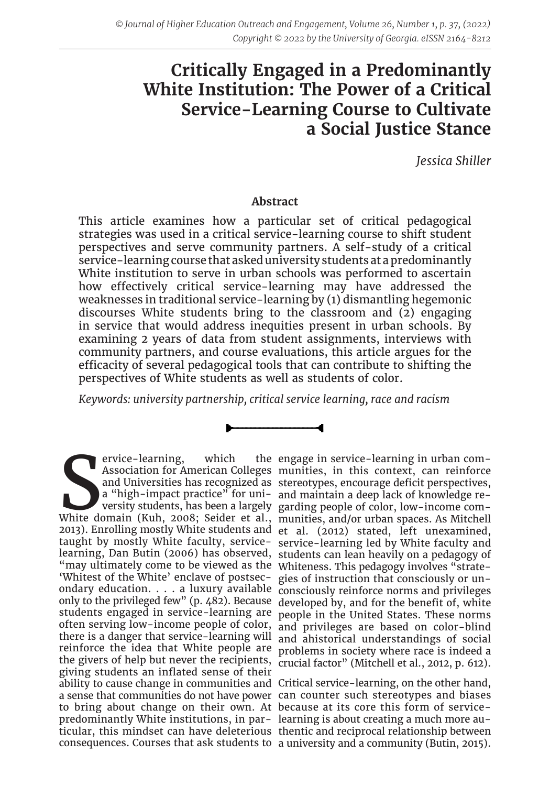# **Critically Engaged in a Predominantly White Institution: The Power of a Critical Service-Learning Course to Cultivate a Social Justice Stance**

*Jessica Shiller*

## **Abstract**

This article examines how a particular set of critical pedagogical strategies was used in a critical service-learning course to shift student perspectives and serve community partners. A self-study of a critical service-learning course that asked university students at a predominantly White institution to serve in urban schools was performed to ascertain how effectively critical service-learning may have addressed the weaknesses in traditional service-learning by (1) dismantling hegemonic discourses White students bring to the classroom and (2) engaging in service that would address inequities present in urban schools. By examining 2 years of data from student assignments, interviews with community partners, and course evaluations, this article argues for the efficacity of several pedagogical tools that can contribute to shifting the perspectives of White students as well as students of color.

*Keywords: university partnership, critical service learning, race and racism*

Provice-learning, which the engage in service-learning in urban com-<br>Association for American Colleges munities, in this context, can reinforce<br>and Universities has recognized as stereotypes, encourage deficit perspectives ervice-learning, which "may ultimately come to be viewed as the Whiteness. This pedagogy involves "strate-'Whitest of the White' enclave of postsec-gies of instruction that consciously or unstudents engaged in service-learning are the givers of help but never the recipients, crucial factor" (Mitchell et al., 2012, p. 612). giving students an inflated sense of their ability to cause change in communities and Critical service-learning, on the other hand, a sense that communities do not have power can counter such stereotypes and biases to bring about change on their own. At because at its core this form of servicepredominantly White institutions, in par-learning is about creating a much more auticular, this mindset can have deleterious thentic and reciprocal relationship between consequences. Courses that ask students to a university and a community (Butin, 2015).

Association for American Colleges munities, in this context, can reinforce and Universities has recognized as stereotypes, encourage deficit perspectives, a "high-impact practice" for uni-and maintain a deep lack of knowledge reversity students, has been a largely garding people of color, low-income com-2013). Enrolling mostly White students and et al. (2012) stated, left unexamined, taught by mostly White faculty, service-service-learning led by White faculty and learning, Dan Butin (2006) has observed, students can lean heavily on a pedagogy of ondary education. . . . a luxury available consciously reinforce norms and privileges only to the privileged few" (p. 482). Because developed by, and for the benefit of, white often serving low-income people of color, and privileges are based on color-blind there is a danger that service-learning will and ahistorical understandings of social reinforce the idea that White people are problems in society where race is indeed a engage in service-learning in urban compeople in the United States. These norms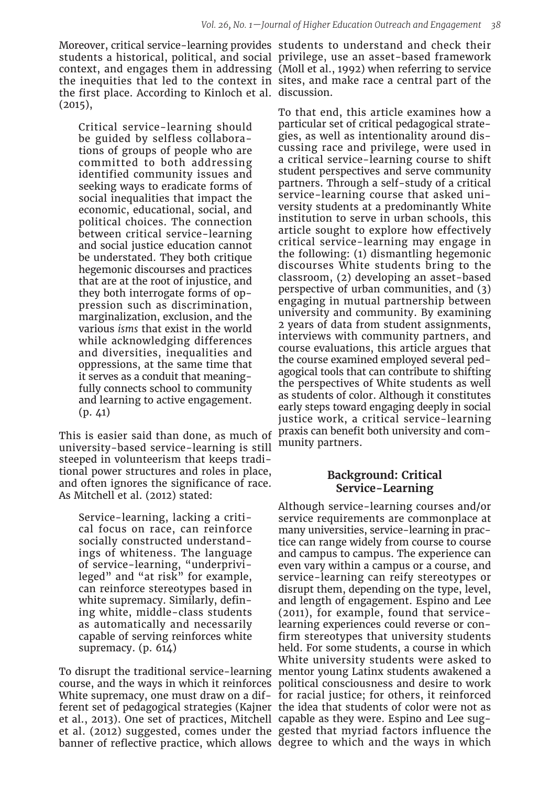Moreover, critical service-learning provides students to understand and check their students a historical, political, and social privilege, use an asset-based framework context, and engages them in addressing (Moll et al., 1992) when referring to service the inequities that led to the context in sites, and make race a central part of the the first place. According to Kinloch et al. discussion.  $(2015),$ 

Critical service-learning should be guided by selfless collaborations of groups of people who are committed to both addressing identified community issues and seeking ways to eradicate forms of social inequalities that impact the economic, educational, social, and political choices. The connection between critical service-learning and social justice education cannot be understated. They both critique hegemonic discourses and practices that are at the root of injustice, and they both interrogate forms of oppression such as discrimination, marginalization, exclusion, and the various *isms* that exist in the world while acknowledging differences and diversities, inequalities and oppressions, at the same time that it serves as a conduit that meaningfully connects school to community and learning to active engagement. (p. 41)

This is easier said than done, as much of university-based service-learning is still steeped in volunteerism that keeps traditional power structures and roles in place, and often ignores the significance of race. As Mitchell et al. (2012) stated:

Service-learning, lacking a critical focus on race, can reinforce socially constructed understandings of whiteness. The language of service-learning, "underprivileged" and "at risk" for example, can reinforce stereotypes based in white supremacy. Similarly, defining white, middle-class students as automatically and necessarily capable of serving reinforces white supremacy. (p. 614)

et al., 2013). One set of practices, Mitchell capable as they were. Espino and Lee sugbanner of reflective practice, which allows degree to which and the ways in which

To that end, this article examines how a particular set of critical pedagogical strategies, as well as intentionality around discussing race and privilege, were used in a critical service-learning course to shift student perspectives and serve community partners. Through a self-study of a critical service-learning course that asked university students at a predominantly White institution to serve in urban schools, this article sought to explore how effectively critical service-learning may engage in the following: (1) dismantling hegemonic discourses White students bring to the classroom, (2) developing an asset-based perspective of urban communities, and (3) engaging in mutual partnership between university and community. By examining 2 years of data from student assignments, interviews with community partners, and course evaluations, this article argues that the course examined employed several pedagogical tools that can contribute to shifting the perspectives of White students as well as students of color. Although it constitutes early steps toward engaging deeply in social justice work, a critical service-learning praxis can benefit both university and community partners.

# **Background: Critical Service-Learning**

To disrupt the traditional service-learning mentor young Latinx students awakened a course, and the ways in which it reinforces political consciousness and desire to work White supremacy, one must draw on a dif-for racial justice; for others, it reinforced ferent set of pedagogical strategies (Kajner the idea that students of color were not as et al. (2012) suggested, comes under the gested that myriad factors influence the Although service-learning courses and/or service requirements are commonplace at many universities, service-learning in practice can range widely from course to course and campus to campus. The experience can even vary within a campus or a course, and service-learning can reify stereotypes or disrupt them, depending on the type, level, and length of engagement. Espino and Lee (2011), for example, found that servicelearning experiences could reverse or confirm stereotypes that university students held. For some students, a course in which White university students were asked to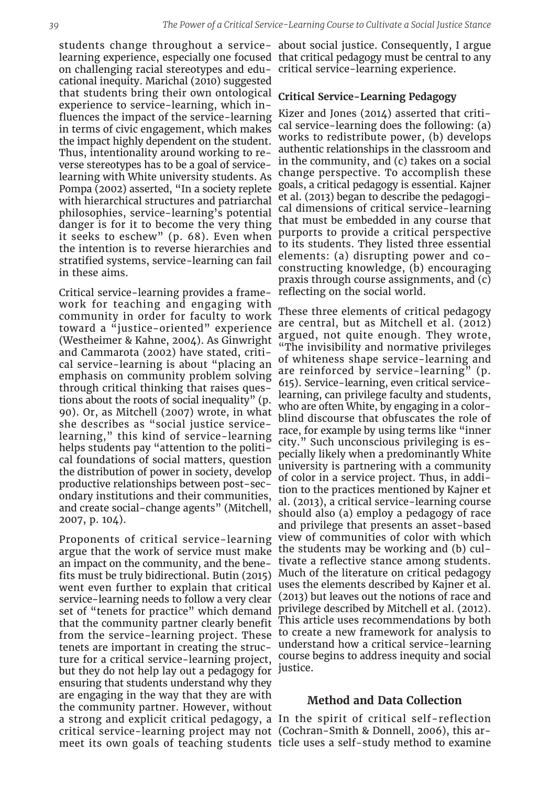on challenging racial stereotypes and edu-critical service-learning experience. cational inequity. Marichal (2010) suggested that students bring their own ontological experience to service-learning, which influences the impact of the service-learning in terms of civic engagement, which makes the impact highly dependent on the student. Thus, intentionality around working to reverse stereotypes has to be a goal of servicelearning with White university students. As Pompa (2002) asserted, "In a society replete with hierarchical structures and patriarchal philosophies, service-learning's potential danger is for it to become the very thing it seeks to eschew" (p. 68). Even when the intention is to reverse hierarchies and stratified systems, service-learning can fail in these aims.

Critical service-learning provides a framework for teaching and engaging with community in order for faculty to work toward a "justice-oriented" experience (Westheimer & Kahne, 2004). As Ginwright and Cammarota (2002) have stated, critical service-learning is about "placing an emphasis on community problem solving through critical thinking that raises questions about the roots of social inequality" (p. 90). Or, as Mitchell (2007) wrote, in what she describes as "social justice servicelearning," this kind of service-learning helps students pay "attention to the political foundations of social matters, question the distribution of power in society, develop productive relationships between post-secondary institutions and their communities, and create social-change agents" (Mitchell, 2007, p. 104).

Proponents of critical service-learning argue that the work of service must make the students may be working and (b) culan impact on the community, and the benefits must be truly bidirectional. Butin (2015) went even further to explain that critical service-learning needs to follow a very clear set of "tenets for practice" which demand that the community partner clearly benefit tenets are important in creating the structure for a critical service-learning project, but they do not help lay out a pedagogy for justice. ensuring that students understand why they are engaging in the way that they are with the community partner. However, without a strong and explicit critical pedagogy, a In the spirit of critical self-reflection critical service-learning project may not (Cochran-Smith & Donnell, 2006), this armeet its own goals of teaching students ticle uses a self-study method to examine

students change throughout a service-about social justice. Consequently, I argue learning experience, especially one focused that critical pedagogy must be central to any

## **Critical Service-Learning Pedagogy**

Kizer and Jones (2014) asserted that critical service-learning does the following: (a) works to redistribute power, (b) develops authentic relationships in the classroom and in the community, and (c) takes on a social change perspective. To accomplish these goals, a critical pedagogy is essential. Kajner et al. (2013) began to describe the pedagogical dimensions of critical service-learning that must be embedded in any course that purports to provide a critical perspective to its students. They listed three essential elements: (a) disrupting power and coconstructing knowledge, (b) encouraging praxis through course assignments, and (c) reflecting on the social world.

from the service-learning project. These to create a new framework for analysis to These three elements of critical pedagogy are central, but as Mitchell et al. (2012) argued, not quite enough. They wrote, "The invisibility and normative privileges of whiteness shape service-learning and are reinforced by service-learning" (p. 615). Service-learning, even critical servicelearning, can privilege faculty and students, who are often White, by engaging in a colorblind discourse that obfuscates the role of race, for example by using terms like "inner city." Such unconscious privileging is especially likely when a predominantly White university is partnering with a community of color in a service project. Thus, in addition to the practices mentioned by Kajner et al. (2013), a critical service-learning course should also (a) employ a pedagogy of race and privilege that presents an asset-based view of communities of color with which tivate a reflective stance among students. Much of the literature on critical pedagogy uses the elements described by Kajner et al. (2013) but leaves out the notions of race and privilege described by Mitchell et al. (2012). This article uses recommendations by both understand how a critical service-learning course begins to address inequity and social

## **Method and Data Collection**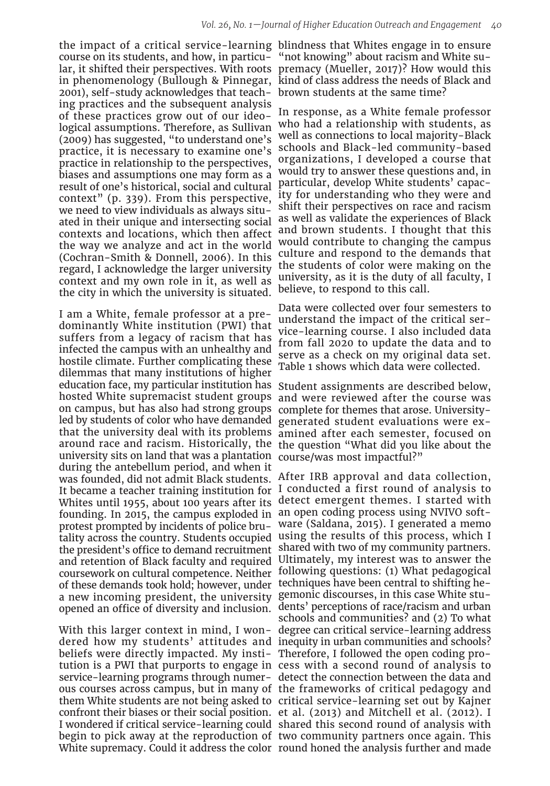course on its students, and how, in particu-"not knowing" about racism and White su-2001), self-study acknowledges that teach-brown students at the same time? ing practices and the subsequent analysis of these practices grow out of our ideological assumptions. Therefore, as Sullivan (2009) has suggested, "to understand one's practice, it is necessary to examine one's practice in relationship to the perspectives, biases and assumptions one may form as a result of one's historical, social and cultural context" (p. 339). From this perspective, we need to view individuals as always situated in their unique and intersecting social contexts and locations, which then affect the way we analyze and act in the world (Cochran-Smith & Donnell, 2006). In this regard, I acknowledge the larger university context and my own role in it, as well as the city in which the university is situated.

I am a White, female professor at a predominantly White institution (PWI) that suffers from a legacy of racism that has infected the campus with an unhealthy and hostile climate. Further complicating these dilemmas that many institutions of higher education face, my particular institution has Student assignments are described below, hosted White supremacist student groups on campus, but has also had strong groups led by students of color who have demanded university sits on land that was a plantation course/was most impactful?" during the antebellum period, and when it was founded, did not admit Black students. After IRB approval and data collection, It became a teacher training institution for I conducted a first round of analysis to Whites until 1955, about 100 years after its detect emergent themes. I started with founding. In 2015, the campus exploded in an open coding process using NVIVO softprotest prompted by incidents of police bru-ware (Saldana, 2015). I generated a memo tality across the country. Students occupied using the results of this process, which I the president's office to demand recruitment shared with two of my community partners. and retention of Black faculty and required Ultimately, my interest was to answer the coursework on cultural competence. Neither following questions: (1) What pedagogical of these demands took hold; however, under techniques have been central to shifting hea new incoming president, the university gemonic discourses, in this case White stuopened an office of diversity and inclusion. dents' perceptions of race/racism and urban

With this larger context in mind, I won-degree can critical service-learning address dered how my students' attitudes and inequity in urban communities and schools? beliefs were directly impacted. My insti-Therefore, I followed the open coding protution is a PWI that purports to engage in cess with a second round of analysis to service-learning programs through numer-detect the connection between the data and ous courses across campus, but in many of the frameworks of critical pedagogy and them White students are not being asked to critical service-learning set out by Kajner confront their biases or their social position. et al. (2013) and Mitchell et al. (2012). I I wondered if critical service-learning could shared this second round of analysis with begin to pick away at the reproduction of two community partners once again. This White supremacy. Could it address the color round honed the analysis further and made

the impact of a critical service-learning blindness that Whites engage in to ensure lar, it shifted their perspectives. With roots premacy (Mueller, 2017)? How would this in phenomenology (Bullough & Pinnegar, kind of class address the needs of Black and

> In response, as a White female professor who had a relationship with students, as well as connections to local majority-Black schools and Black-led community-based organizations, I developed a course that would try to answer these questions and, in particular, develop White students' capacity for understanding who they were and shift their perspectives on race and racism as well as validate the experiences of Black and brown students. I thought that this would contribute to changing the campus culture and respond to the demands that the students of color were making on the university, as it is the duty of all faculty, I believe, to respond to this call.

> Data were collected over four semesters to understand the impact of the critical service-learning course. I also included data from fall 2020 to update the data and to serve as a check on my original data set. Table 1 shows which data were collected.

that the university deal with its problems amined after each semester, focused on around race and racism. Historically, the the question "What did you like about the and were reviewed after the course was complete for themes that arose. Universitygenerated student evaluations were ex-

schools and communities? and (2) To what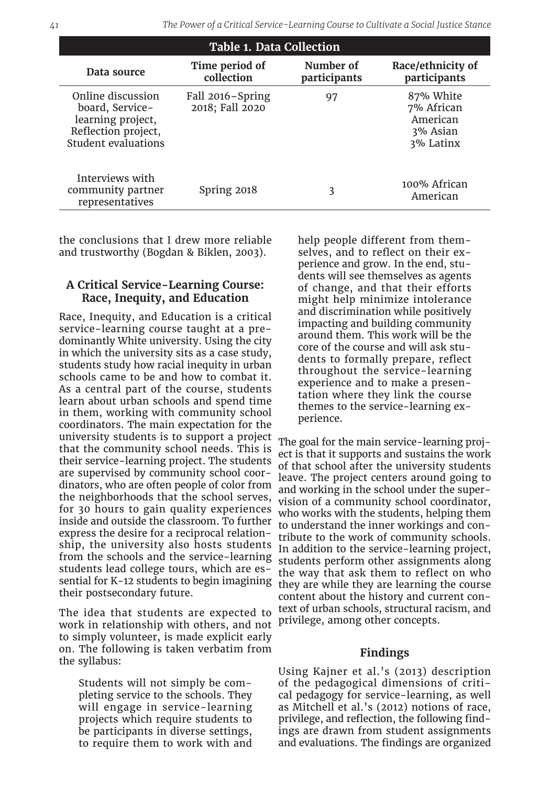| <b>Table 1. Data Collection</b>                                                                                |                                     |                           |                                                              |
|----------------------------------------------------------------------------------------------------------------|-------------------------------------|---------------------------|--------------------------------------------------------------|
| Data source                                                                                                    | Time period of<br>collection        | Number of<br>participants | Race/ethnicity of<br>participants                            |
| Online discussion<br>board, Service-<br>learning project,<br>Reflection project,<br><b>Student evaluations</b> | Fall 2016-Spring<br>2018; Fall 2020 | 97                        | 87% White<br>7% African<br>American<br>3% Asian<br>3% Latinx |
| Interviews with<br>community partner<br>representatives                                                        | Spring 2018                         | 3                         | 100% African<br>American                                     |

the conclusions that I drew more reliable and trustworthy (Bogdan & Biklen, 2003).

## **A Critical Service-Learning Course: Race, Inequity, and Education**

Race, Inequity, and Education is a critical service-learning course taught at a predominantly White university. Using the city in which the university sits as a case study, students study how racial inequity in urban schools came to be and how to combat it. As a central part of the course, students learn about urban schools and spend time in them, working with community school coordinators. The main expectation for the university students is to support a project that the community school needs. This is their service-learning project. The students are supervised by community school coordinators, who are often people of color from the neighborhoods that the school serves, for 30 hours to gain quality experiences inside and outside the classroom. To further express the desire for a reciprocal relationship, the university also hosts students from the schools and the service-learning students lead college tours, which are essential for K-12 students to begin imagining their postsecondary future.

The idea that students are expected to work in relationship with others, and not to simply volunteer, is made explicit early on. The following is taken verbatim from the syllabus:

Students will not simply be completing service to the schools. They will engage in service-learning projects which require students to be participants in diverse settings, to require them to work with and

help people different from themselves, and to reflect on their experience and grow. In the end, students will see themselves as agents of change, and that their efforts might help minimize intolerance and discrimination while positively impacting and building community around them. This work will be the core of the course and will ask students to formally prepare, reflect throughout the service-learning experience and to make a presentation where they link the course themes to the service-learning experience.

The goal for the main service-learning project is that it supports and sustains the work of that school after the university students leave. The project centers around going to and working in the school under the supervision of a community school coordinator, who works with the students, helping them to understand the inner workings and contribute to the work of community schools. In addition to the service-learning project, students perform other assignments along the way that ask them to reflect on who they are while they are learning the course content about the history and current context of urban schools, structural racism, and privilege, among other concepts.

#### **Findings**

Using Kajner et al.'s (2013) description of the pedagogical dimensions of critical pedagogy for service-learning, as well as Mitchell et al.'s (2012) notions of race, privilege, and reflection, the following findings are drawn from student assignments and evaluations. The findings are organized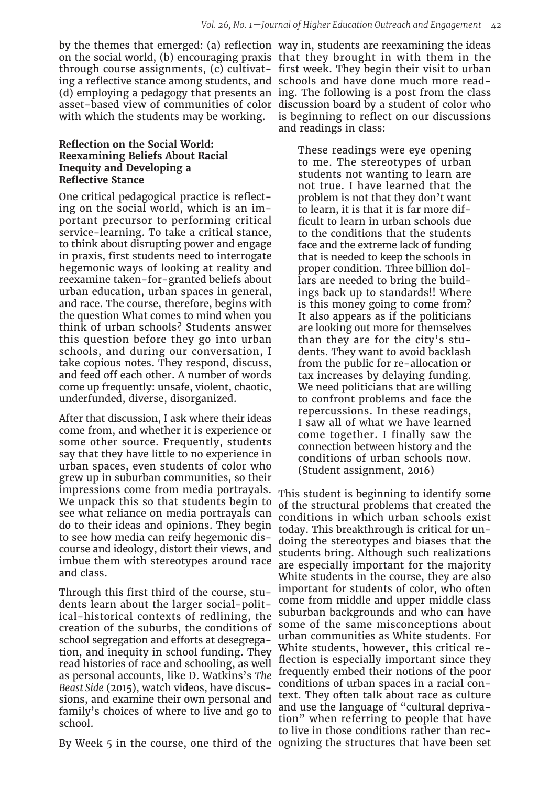ing a reflective stance among students, and schools and have done much more readwith which the students may be working.

#### **Reflection on the Social World: Reexamining Beliefs About Racial Inequity and Developing a Reflective Stance**

One critical pedagogical practice is reflecting on the social world, which is an important precursor to performing critical service-learning. To take a critical stance, to think about disrupting power and engage in praxis, first students need to interrogate hegemonic ways of looking at reality and reexamine taken-for-granted beliefs about urban education, urban spaces in general, and race. The course, therefore, begins with the question What comes to mind when you think of urban schools? Students answer this question before they go into urban schools, and during our conversation, I take copious notes. They respond, discuss, and feed off each other. A number of words come up frequently: unsafe, violent, chaotic, underfunded, diverse, disorganized.

After that discussion, I ask where their ideas come from, and whether it is experience or some other source. Frequently, students say that they have little to no experience in urban spaces, even students of color who grew up in suburban communities, so their impressions come from media portrayals. We unpack this so that students begin to see what reliance on media portrayals can do to their ideas and opinions. They begin to see how media can reify hegemonic discourse and ideology, distort their views, and imbue them with stereotypes around race and class.

Through this first third of the course, students learn about the larger social-political-historical contexts of redlining, the creation of the suburbs, the conditions of school segregation and efforts at desegregation, and inequity in school funding. They read histories of race and schooling, as well as personal accounts, like D. Watkins's *The Beast Side* (2015), watch videos, have discussions, and examine their own personal and family's choices of where to live and go to school.

By Week 5 in the course, one third of the ognizing the structures that have been set

by the themes that emerged: (a) reflection way in, students are reexamining the ideas on the social world, (b) encouraging praxis that they brought in with them in the through course assignments, (c) cultivat-first week. They begin their visit to urban (d) employing a pedagogy that presents an ing. The following is a post from the class asset-based view of communities of color discussion board by a student of color who is beginning to reflect on our discussions and readings in class:

> These readings were eye opening to me. The stereotypes of urban students not wanting to learn are not true. I have learned that the problem is not that they don't want to learn, it is that it is far more difficult to learn in urban schools due to the conditions that the students face and the extreme lack of funding that is needed to keep the schools in proper condition. Three billion dollars are needed to bring the buildings back up to standards!! Where is this money going to come from? It also appears as if the politicians are looking out more for themselves than they are for the city's students. They want to avoid backlash from the public for re-allocation or tax increases by delaying funding. We need politicians that are willing to confront problems and face the repercussions. In these readings, I saw all of what we have learned come together. I finally saw the connection between history and the conditions of urban schools now. (Student assignment, 2016)

This student is beginning to identify some of the structural problems that created the conditions in which urban schools exist today. This breakthrough is critical for undoing the stereotypes and biases that the students bring. Although such realizations are especially important for the majority White students in the course, they are also important for students of color, who often come from middle and upper middle class suburban backgrounds and who can have some of the same misconceptions about urban communities as White students. For White students, however, this critical reflection is especially important since they frequently embed their notions of the poor conditions of urban spaces in a racial context. They often talk about race as culture and use the language of "cultural deprivation" when referring to people that have to live in those conditions rather than rec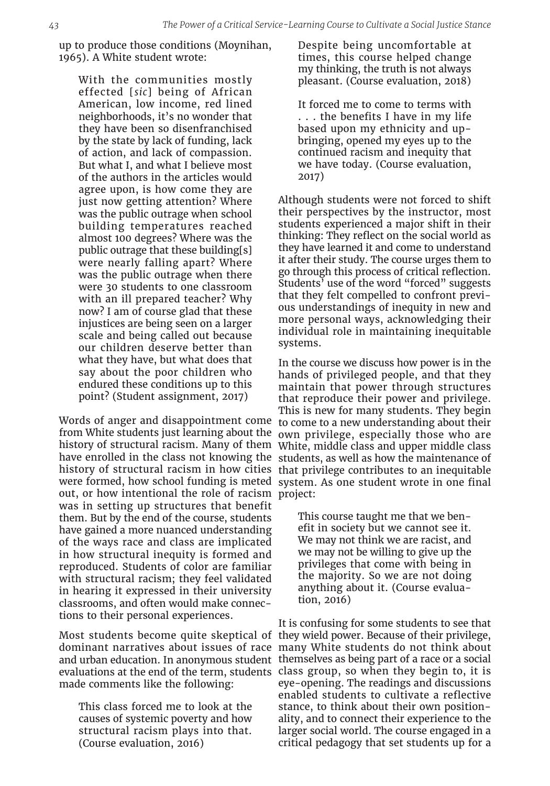up to produce those conditions (Moynihan, 1965). A White student wrote:

With the communities mostly effected [*sic*] being of African American, low income, red lined neighborhoods, it's no wonder that they have been so disenfranchised by the state by lack of funding, lack of action, and lack of compassion. But what I, and what I believe most of the authors in the articles would agree upon, is how come they are just now getting attention? Where was the public outrage when school building temperatures reached almost 100 degrees? Where was the public outrage that these building[s] were nearly falling apart? Where was the public outrage when there were 30 students to one classroom with an ill prepared teacher? Why now? I am of course glad that these injustices are being seen on a larger scale and being called out because our children deserve better than what they have, but what does that say about the poor children who endured these conditions up to this point? (Student assignment, 2017)

Words of anger and disappointment come out, or how intentional the role of racism project: was in setting up structures that benefit them. But by the end of the course, students have gained a more nuanced understanding of the ways race and class are implicated in how structural inequity is formed and reproduced. Students of color are familiar with structural racism; they feel validated in hearing it expressed in their university classrooms, and often would make connections to their personal experiences.

made comments like the following:

This class forced me to look at the causes of systemic poverty and how structural racism plays into that. (Course evaluation, 2016)

Despite being uncomfortable at times, this course helped change my thinking, the truth is not always pleasant. (Course evaluation, 2018)

It forced me to come to terms with . . . the benefits I have in my life based upon my ethnicity and upbringing, opened my eyes up to the continued racism and inequity that we have today. (Course evaluation, 2017)

Although students were not forced to shift their perspectives by the instructor, most students experienced a major shift in their thinking: They reflect on the social world as they have learned it and come to understand it after their study. The course urges them to go through this process of critical reflection. Students<sup>3</sup> use of the word "forced" suggests that they felt compelled to confront previous understandings of inequity in new and more personal ways, acknowledging their individual role in maintaining inequitable systems.

from White students just learning about the own privilege, especially those who are history of structural racism. Many of them White, middle class and upper middle class have enrolled in the class not knowing the students, as well as how the maintenance of history of structural racism in how cities that privilege contributes to an inequitable were formed, how school funding is meted system. As one student wrote in one final In the course we discuss how power is in the hands of privileged people, and that they maintain that power through structures that reproduce their power and privilege. This is new for many students. They begin to come to a new understanding about their

> This course taught me that we benefit in society but we cannot see it. We may not think we are racist, and we may not be willing to give up the privileges that come with being in the majority. So we are not doing anything about it. (Course evaluation, 2016)

Most students become quite skeptical of they wield power. Because of their privilege, dominant narratives about issues of race many White students do not think about and urban education. In anonymous student themselves as being part of a race or a social evaluations at the end of the term, students class group, so when they begin to, it is It is confusing for some students to see that eye-opening. The readings and discussions enabled students to cultivate a reflective stance, to think about their own positionality, and to connect their experience to the larger social world. The course engaged in a critical pedagogy that set students up for a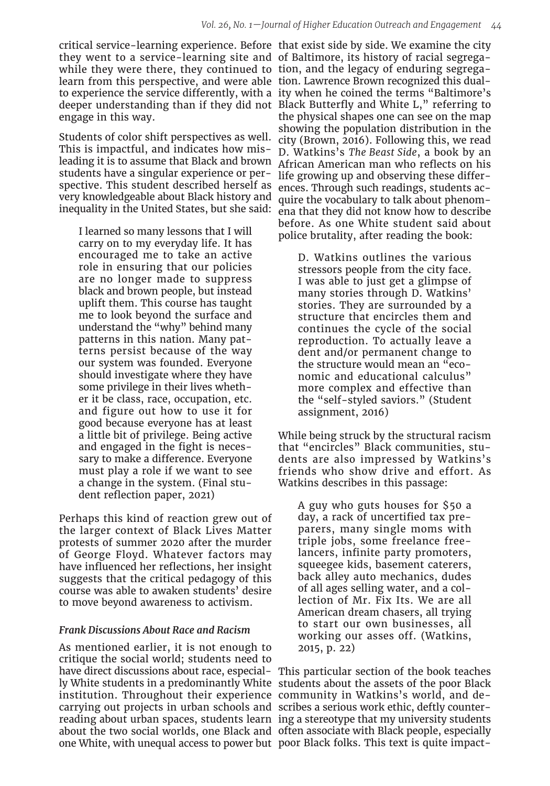they went to a service-learning site and of Baltimore, its history of racial segregawhile they were there, they continued to tion, and the legacy of enduring segregalearn from this perspective, and were able tion. Lawrence Brown recognized this dualengage in this way.

Students of color shift perspectives as well. This is impactful, and indicates how misleading it is to assume that Black and brown students have a singular experience or perspective. This student described herself as very knowledgeable about Black history and inequality in the United States, but she said:

I learned so many lessons that I will carry on to my everyday life. It has encouraged me to take an active role in ensuring that our policies are no longer made to suppress black and brown people, but instead uplift them. This course has taught me to look beyond the surface and understand the "why" behind many patterns in this nation. Many patterns persist because of the way our system was founded. Everyone should investigate where they have some privilege in their lives whether it be class, race, occupation, etc. and figure out how to use it for good because everyone has at least a little bit of privilege. Being active and engaged in the fight is necessary to make a difference. Everyone must play a role if we want to see a change in the system. (Final student reflection paper, 2021)

Perhaps this kind of reaction grew out of the larger context of Black Lives Matter protests of summer 2020 after the murder of George Floyd. Whatever factors may have influenced her reflections, her insight suggests that the critical pedagogy of this course was able to awaken students' desire to move beyond awareness to activism.

#### *Frank Discussions About Race and Racism*

As mentioned earlier, it is not enough to critique the social world; students need to institution. Throughout their experience community in Watkins's world, and decarrying out projects in urban schools and scribes a serious work ethic, deftly counterone White, with unequal access to power but poor Black folks. This text is quite impact-

critical service-learning experience. Before that exist side by side. We examine the city to experience the service differently, with a ity when he coined the terms "Baltimore's deeper understanding than if they did not Black Butterfly and White L," referring to the physical shapes one can see on the map showing the population distribution in the city (Brown, 2016). Following this, we read D. Watkins's *The Beast Side*, a book by an African American man who reflects on his life growing up and observing these differences. Through such readings, students acquire the vocabulary to talk about phenomena that they did not know how to describe before. As one White student said about police brutality, after reading the book:

> D. Watkins outlines the various stressors people from the city face. I was able to just get a glimpse of many stories through D. Watkins' stories. They are surrounded by a structure that encircles them and continues the cycle of the social reproduction. To actually leave a dent and/or permanent change to the structure would mean an "economic and educational calculus" more complex and effective than the "self-styled saviors." (Student assignment, 2016)

While being struck by the structural racism that "encircles" Black communities, students are also impressed by Watkins's friends who show drive and effort. As Watkins describes in this passage:

A guy who guts houses for \$50 a day, a rack of uncertified tax preparers, many single moms with triple jobs, some freelance freelancers, infinite party promoters, squeegee kids, basement caterers, back alley auto mechanics, dudes of all ages selling water, and a collection of Mr. Fix Its. We are all American dream chasers, all trying to start our own businesses, all working our asses off. (Watkins, 2015, p. 22)

have direct discussions about race, especial-This particular section of the book teaches ly White students in a predominantly White students about the assets of the poor Black reading about urban spaces, students learn ing a stereotype that my university students about the two social worlds, one Black and often associate with Black people, especially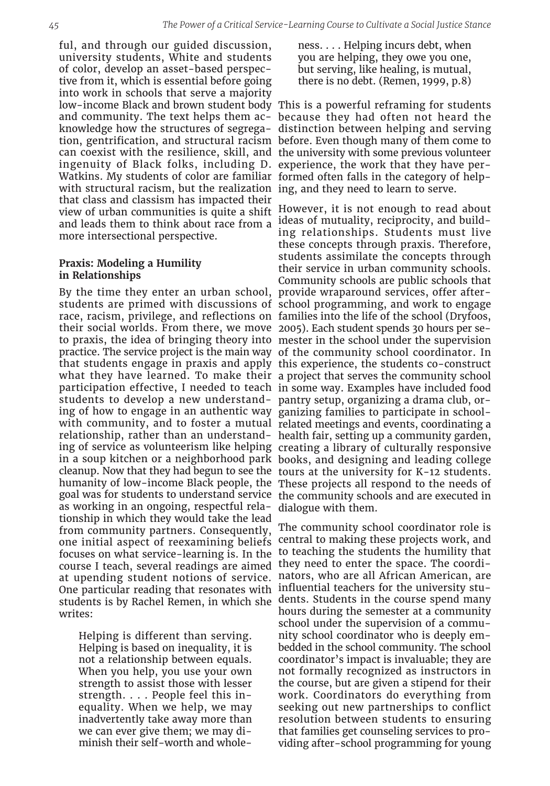ful, and through our guided discussion, university students, White and students of color, develop an asset-based perspective from it, which is essential before going into work in schools that serve a majority ingenuity of Black folks, including D. experience, the work that they have per-Watkins. My students of color are familiar formed often falls in the category of helpwith structural racism, but the realization ing, and they need to learn to serve. that class and classism has impacted their and leads them to think about race from a more intersectional perspective.

## **Praxis: Modeling a Humility in Relationships**

By the time they enter an urban school, provide wraparound services, offer afterstudents are primed with discussions of school programming, and work to engage race, racism, privilege, and reflections on families into the life of the school (Dryfoos, their social worlds. From there, we move 2005). Each student spends 30 hours per seto praxis, the idea of bringing theory into mester in the school under the supervision practice. The service project is the main way of the community school coordinator. In that students engage in praxis and apply this experience, the students co-construct what they have learned. To make their a project that serves the community school participation effective, I needed to teach in some way. Examples have included food students to develop a new understand-pantry setup, organizing a drama club, oring of how to engage in an authentic way ganizing families to participate in schoolwith community, and to foster a mutual related meetings and events, coordinating a relationship, rather than an understand-health fair, setting up a community garden, ing of service as volunteerism like helping creating a library of culturally responsive in a soup kitchen or a neighborhood park books, and designing and leading college cleanup. Now that they had begun to see the tours at the university for K-12 students. humanity of low-income Black people, the These projects all respond to the needs of goal was for students to understand service the community schools and are executed in as working in an ongoing, respectful relationship in which they would take the lead from community partners. Consequently, one initial aspect of reexamining beliefs focuses on what service-learning is. In the course I teach, several readings are aimed at upending student notions of service. One particular reading that resonates with influential teachers for the university stustudents is by Rachel Remen, in which she dents. Students in the course spend many writes:

Helping is different than serving. Helping is based on inequality, it is not a relationship between equals. When you help, you use your own strength to assist those with lesser strength. . . . People feel this inequality. When we help, we may inadvertently take away more than we can ever give them; we may diminish their self-worth and wholeness. . . . Helping incurs debt, when you are helping, they owe you one, but serving, like healing, is mutual, there is no debt. (Remen, 1999, p.8)

low-income Black and brown student body This is a powerful reframing for students and community. The text helps them ac-because they had often not heard the knowledge how the structures of segrega-distinction between helping and serving tion, gentrification, and structural racism before. Even though many of them come to can coexist with the resilience, skill, and the university with some previous volunteer

view of urban communities is quite a shift However, it is not enough to read about ideas of mutuality, reciprocity, and building relationships. Students must live these concepts through praxis. Therefore, students assimilate the concepts through their service in urban community schools. Community schools are public schools that dialogue with them.

> The community school coordinator role is central to making these projects work, and to teaching the students the humility that they need to enter the space. The coordinators, who are all African American, are hours during the semester at a community school under the supervision of a community school coordinator who is deeply embedded in the school community. The school coordinator's impact is invaluable; they are not formally recognized as instructors in the course, but are given a stipend for their work. Coordinators do everything from seeking out new partnerships to conflict resolution between students to ensuring that families get counseling services to providing after-school programming for young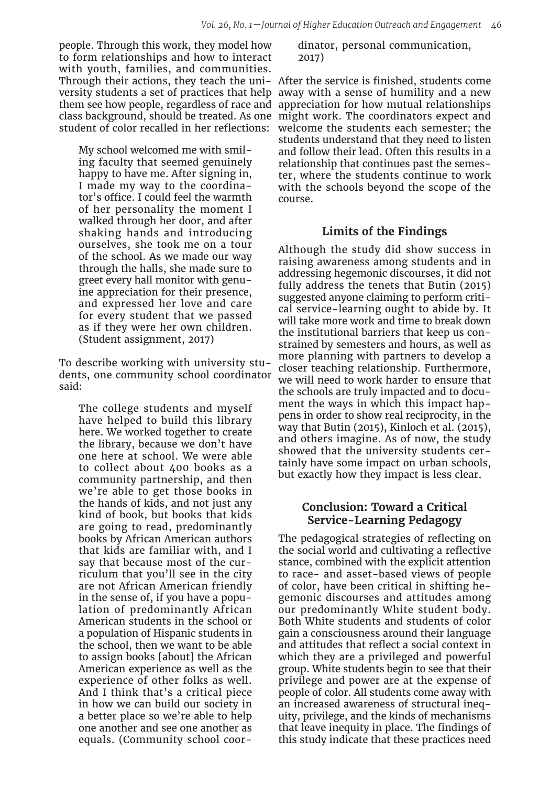people. Through this work, they model how to form relationships and how to interact with youth, families, and communities. Through their actions, they teach the uni-After the service is finished, students come versity students a set of practices that help away with a sense of humility and a new them see how people, regardless of race and class background, should be treated. As one might work. The coordinators expect and student of color recalled in her reflections:

My school welcomed me with smiling faculty that seemed genuinely happy to have me. After signing in, I made my way to the coordinator's office. I could feel the warmth of her personality the moment I walked through her door, and after shaking hands and introducing ourselves, she took me on a tour of the school. As we made our way through the halls, she made sure to greet every hall monitor with genuine appreciation for their presence, and expressed her love and care for every student that we passed as if they were her own children. (Student assignment, 2017)

To describe working with university students, one community school coordinator said:

The college students and myself have helped to build this library here. We worked together to create the library, because we don't have one here at school. We were able to collect about 400 books as a community partnership, and then we're able to get those books in the hands of kids, and not just any kind of book, but books that kids are going to read, predominantly books by African American authors that kids are familiar with, and I say that because most of the curriculum that you'll see in the city are not African American friendly in the sense of, if you have a population of predominantly African American students in the school or a population of Hispanic students in the school, then we want to be able to assign books [about] the African American experience as well as the experience of other folks as well. And I think that's a critical piece in how we can build our society in a better place so we're able to help one another and see one another as equals. (Community school coor-

dinator, personal communication, 2017)

appreciation for how mutual relationships welcome the students each semester; the students understand that they need to listen and follow their lead. Often this results in a relationship that continues past the semester, where the students continue to work with the schools beyond the scope of the course.

## **Limits of the Findings**

Although the study did show success in raising awareness among students and in addressing hegemonic discourses, it did not fully address the tenets that Butin (2015) suggested anyone claiming to perform critical service-learning ought to abide by. It will take more work and time to break down the institutional barriers that keep us constrained by semesters and hours, as well as more planning with partners to develop a closer teaching relationship. Furthermore, we will need to work harder to ensure that the schools are truly impacted and to document the ways in which this impact happens in order to show real reciprocity, in the way that Butin (2015), Kinloch et al. (2015), and others imagine. As of now, the study showed that the university students certainly have some impact on urban schools, but exactly how they impact is less clear.

## **Conclusion: Toward a Critical Service-Learning Pedagogy**

The pedagogical strategies of reflecting on the social world and cultivating a reflective stance, combined with the explicit attention to race- and asset-based views of people of color, have been critical in shifting hegemonic discourses and attitudes among our predominantly White student body. Both White students and students of color gain a consciousness around their language and attitudes that reflect a social context in which they are a privileged and powerful group. White students begin to see that their privilege and power are at the expense of people of color. All students come away with an increased awareness of structural inequity, privilege, and the kinds of mechanisms that leave inequity in place. The findings of this study indicate that these practices need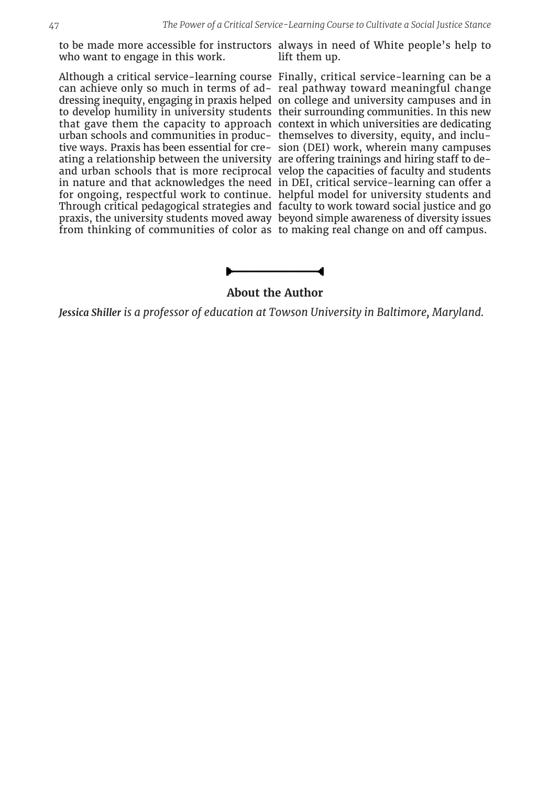who want to engage in this work.

urban schools and communities in produc-themselves to diversity, equity, and incluating a relationship between the university are offering trainings and hiring staff to de-

to be made more accessible for instructors always in need of White people's help to lift them up.

Although a critical service-learning course Finally, critical service-learning can be a can achieve only so much in terms of ad-real pathway toward meaningful change dressing inequity, engaging in praxis helped on college and university campuses and in to develop humility in university students their surrounding communities. In this new that gave them the capacity to approach context in which universities are dedicating tive ways. Praxis has been essential for cre-sion (DEI) work, wherein many campuses and urban schools that is more reciprocal velop the capacities of faculty and students in nature and that acknowledges the need in DEI, critical service-learning can offer a for ongoing, respectful work to continue. helpful model for university students and Through critical pedagogical strategies and faculty to work toward social justice and go praxis, the university students moved away beyond simple awareness of diversity issues from thinking of communities of color as to making real change on and off campus.

# **About the Author**

*Jessica Shiller is a professor of education at Towson University in Baltimore, Maryland.*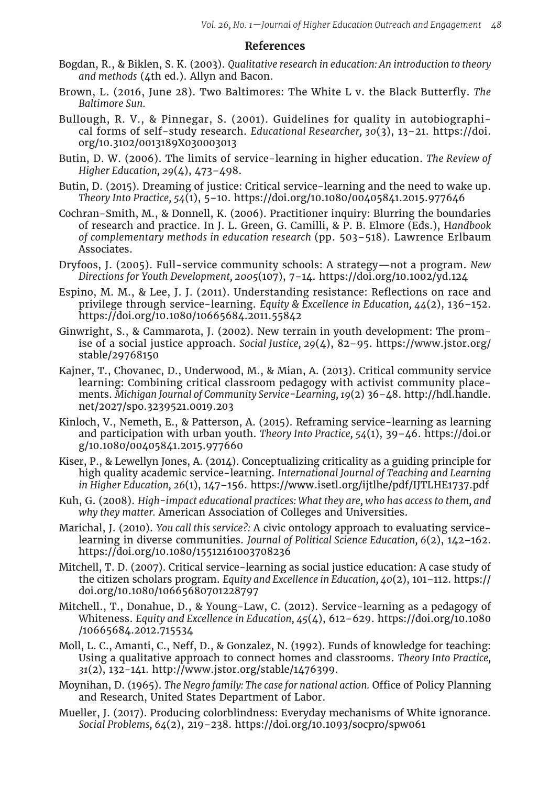## **References**

- Bogdan, R., & Biklen, S. K. (2003). *Qualitative research in education: An introduction to theory and methods* (4th ed.). Allyn and Bacon.
- Brown, L. (2016, June 28). Two Baltimores: The White L v. the Black Butterfly. *The Baltimore Sun.*
- Bullough, R. V., & Pinnegar, S. (2001). Guidelines for quality in autobiographical forms of self-study research. *Educational Researcher, 30*(3), 13–21. https://doi. org/10.3102/0013189X030003013
- Butin, D. W. (2006). The limits of service-learning in higher education. *The Review of Higher Education, 29*(4), 473–498.
- Butin, D. (2015). Dreaming of justice: Critical service-learning and the need to wake up. *Theory Into Practice, 54*(1), 5–10. https://doi.org/10.1080/00405841.2015.977646
- Cochran-Smith, M., & Donnell, K. (2006). Practitioner inquiry: Blurring the boundaries of research and practice. In J. L. Green, G. Camilli, & P. B. Elmore (Eds.), H*andbook of complementary methods in education research* (pp. 503–518). Lawrence Erlbaum Associates.
- Dryfoos, J. (2005). Full-service community schools: A strategy—not a program. *New Directions for Youth Development, 2005*(107), 7–14. https://doi.org/10.1002/yd.124
- Espino, M. M., & Lee, J. J. (2011). Understanding resistance: Reflections on race and privilege through service-learning. *Equity & Excellence in Education, 44*(2), 136–152. https://doi.org/10.1080/10665684.2011.55842
- Ginwright, S., & Cammarota, J. (2002). New terrain in youth development: The promise of a social justice approach. *Social Justice, 29*(4), 82–95. https://www.jstor.org/ stable/29768150
- Kajner, T., Chovanec, D., Underwood, M., & Mian, A. (2013). Critical community service learning: Combining critical classroom pedagogy with activist community placements. *Michigan Journal of Community Service-Learning, 19*(2) 36–48. http://hdl.handle. net/2027/spo.3239521.0019.203
- Kinloch, V., Nemeth, E., & Patterson, A. (2015). Reframing service-learning as learning and participation with urban youth. *Theory Into Practice, 54*(1), 39–46. https://doi.or g/10.1080/00405841.2015.977660
- Kiser, P., & Lewellyn Jones, A. (2014). Conceptualizing criticality as a guiding principle for high quality academic service-learning. *International Journal of Teaching and Learning in Higher Education, 26*(1), 147–156. https://www.isetl.org/ijtlhe/pdf/IJTLHE1737.pdf
- Kuh, G. (2008). *High-impact educational practices: What they are, who has access to them, and why they matter.* American Association of Colleges and Universities.
- Marichal, J. (2010). *You call this service?:* A civic ontology approach to evaluating servicelearning in diverse communities. *Journal of Political Science Education, 6*(2), 142–162. https://doi.org/10.1080/15512161003708236
- Mitchell, T. D. (2007). Critical service-learning as social justice education: A case study of the citizen scholars program. *Equity and Excellence in Education, 40*(2), 101–112. https:// doi.org/10.1080/10665680701228797
- Mitchell., T., Donahue, D., & Young-Law, C. (2012). Service-learning as a pedagogy of Whiteness. *Equity and Excellence in Education, 45*(4), 612–629. https://doi.org/10.1080 /10665684.2012.715534
- Moll, L. C., Amanti, C., Neff, D., & Gonzalez, N. (1992). Funds of knowledge for teaching: Using a qualitative approach to connect homes and classrooms. *Theory Into Practice, 31*(2), 132-141. http://www.jstor.org/stable/1476399.
- Moynihan, D. (1965). *The Negro family: The case for national action.* Office of Policy Planning and Research, United States Department of Labor.
- Mueller, J. (2017). Producing colorblindness: Everyday mechanisms of White ignorance. *Social Problems, 64*(2), 219–238. https://doi.org/10.1093/socpro/spw061